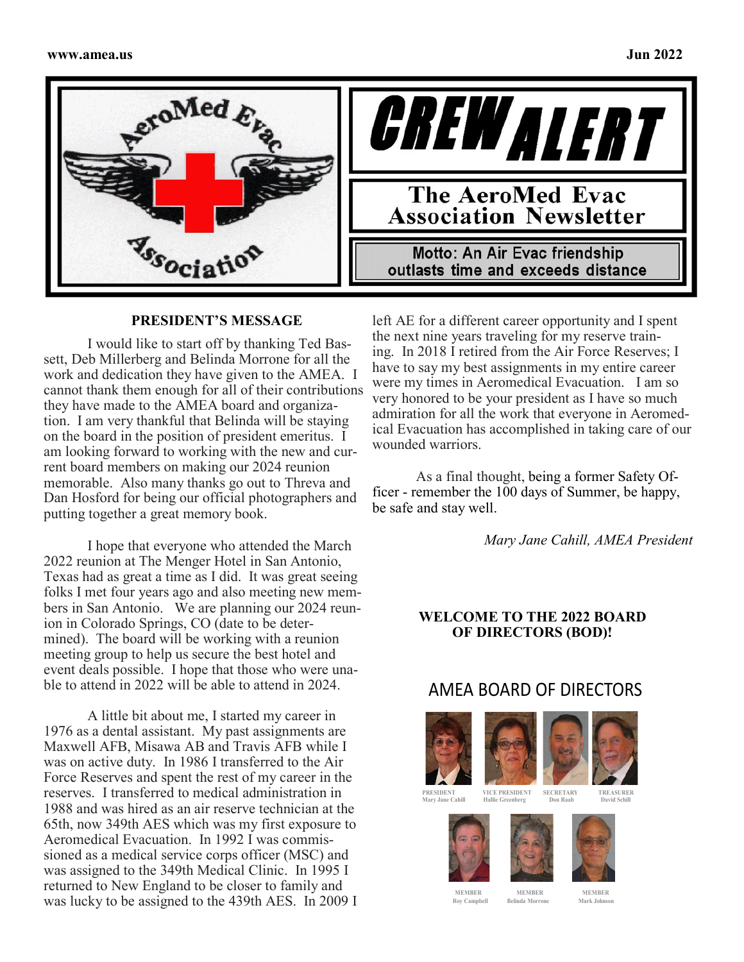



### **PRESIDENT'S MESSAGE**

I would like to start off by thanking Ted Bassett, Deb Millerberg and Belinda Morrone for all the work and dedication they have given to the AMEA. I cannot thank them enough for all of their contributions they have made to the AMEA board and organization. I am very thankful that Belinda will be staying on the board in the position of president emeritus. I am looking forward to working with the new and current board members on making our 2024 reunion memorable. Also many thanks go out to Threva and Dan Hosford for being our official photographers and putting together a great memory book.

I hope that everyone who attended the March 2022 reunion at The Menger Hotel in San Antonio, Texas had as great a time as I did. It was great seeing folks I met four years ago and also meeting new members in San Antonio. We are planning our 2024 reunion in Colorado Springs, CO (date to be determined). The board will be working with a reunion meeting group to help us secure the best hotel and event deals possible. I hope that those who were unable to attend in 2022 will be able to attend in 2024.

A little bit about me, I started my career in 1976 as a dental assistant. My past assignments are Maxwell AFB, Misawa AB and Travis AFB while I was on active duty. In 1986 I transferred to the Air Force Reserves and spent the rest of my career in the reserves. I transferred to medical administration in 1988 and was hired as an air reserve technician at the 65th, now 349th AES which was my first exposure to Aeromedical Evacuation. In 1992 I was commissioned as a medical service corps officer (MSC) and was assigned to the 349th Medical Clinic. In 1995 I returned to New England to be closer to family and was lucky to be assigned to the 439th AES. In 2009 I

**Motto: An Air Evac friendship** outlasts time and exceeds distance left AE for a different career opportunity and I spent the next nine years traveling for my reserve training. In 2018 I retired from the Air Force Reserves; I have to say my best assignments in my entire career were my times in Aeromedical Evacuation. I am so very honored to be your president as I have so much admiration for all the work that everyone in Aeromedical Evacuation has accomplished in taking care of our

CREW ALERT

**The AeroMed Evac Association Newsletter** 

As a final thought, being a former Safety Officer - remember the 100 days of Summer, be happy, be safe and stay well.

*Mary Jane Cahill, AMEA President*

#### **WELCOME TO THE 2022 BOARD OF DIRECTORS (BOD)!**

## AMEA BOARD OF DIRECTORS



wounded warriors.





**PRESIDENT VICE PRESIDENT SECRETARY TREASURER Mary Jane Cahill Hallie Greenberg Don Raab David Schill**







**MEMBER MEMBER MEMBER**  $Row$  Campbell **Belinda Morrone**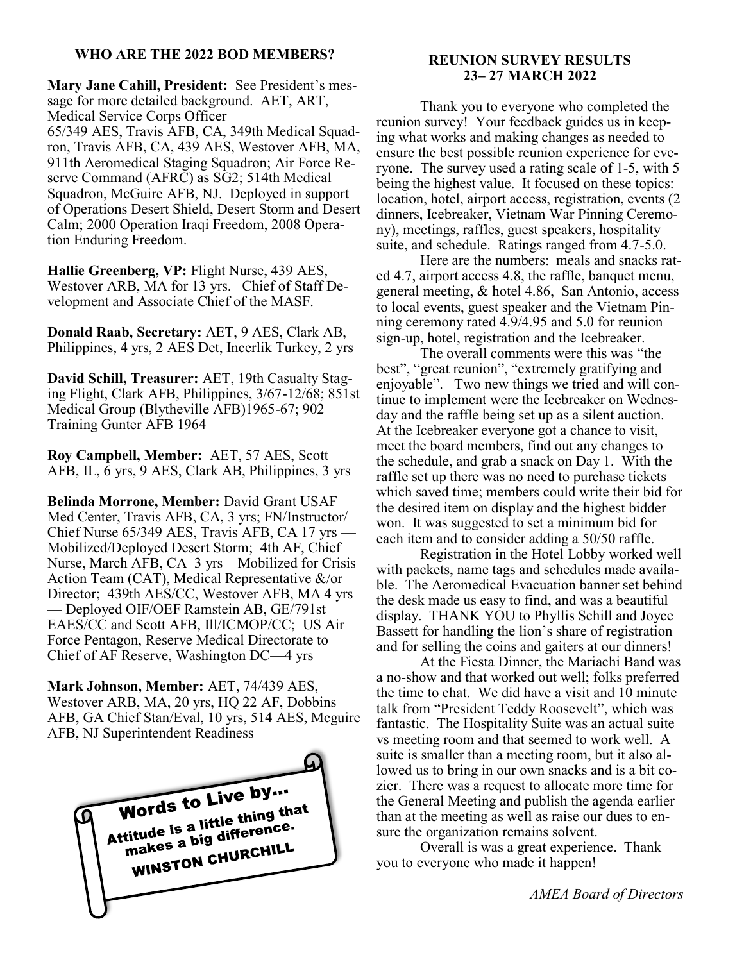### **WHO ARE THE 2022 BOD MEMBERS?**

**Mary Jane Cahill, President:** See President's message for more detailed background. AET, ART, Medical Service Corps Officer

65/349 AES, Travis AFB, CA, 349th Medical Squadron, Travis AFB, CA, 439 AES, Westover AFB, MA, 911th Aeromedical Staging Squadron; Air Force Reserve Command (AFRC) as SG2; 514th Medical Squadron, McGuire AFB, NJ. Deployed in support of Operations Desert Shield, Desert Storm and Desert Calm; 2000 Operation Iraqi Freedom, 2008 Operation Enduring Freedom.

**Hallie Greenberg, VP:** Flight Nurse, 439 AES, Westover ARB, MA for 13 yrs. Chief of Staff Development and Associate Chief of the MASF.

**Donald Raab, Secretary:** AET, 9 AES, Clark AB, Philippines, 4 yrs, 2 AES Det, Incerlik Turkey, 2 yrs

**David Schill, Treasurer:** AET, 19th Casualty Staging Flight, Clark AFB, Philippines, 3/67-12/68; 851st Medical Group (Blytheville AFB)1965-67; 902 Training Gunter AFB 1964

**Roy Campbell, Member:** AET, 57 AES, Scott AFB, IL, 6 yrs, 9 AES, Clark AB, Philippines, 3 yrs

**Belinda Morrone, Member:** David Grant USAF Med Center, Travis AFB, CA, 3 yrs; FN/Instructor/ Chief Nurse 65/349 AES, Travis AFB, CA 17 yrs — Mobilized/Deployed Desert Storm; 4th AF, Chief Nurse, March AFB, CA 3 yrs—Mobilized for Crisis Action Team (CAT), Medical Representative &/or Director; 439th AES/CC, Westover AFB, MA 4 yrs — Deployed OIF/OEF Ramstein AB, GE/791st EAES/CC and Scott AFB, Ill/ICMOP/CC; US Air Force Pentagon, Reserve Medical Directorate to Chief of AF Reserve, Washington DC—4 yrs

**Mark Johnson, Member:** AET, 74/439 AES, Westover ARB, MA, 20 yrs, HQ 22 AF, Dobbins AFB, GA Chief Stan/Eval, 10 yrs, 514 AES, Mcguire AFB, NJ Superintendent Readiness



## **REUNION SURVEY RESULTS 23– 27 MARCH 2022**

Thank you to everyone who completed the reunion survey! Your feedback guides us in keeping what works and making changes as needed to ensure the best possible reunion experience for everyone. The survey used a rating scale of 1-5, with 5 being the highest value. It focused on these topics: location, hotel, airport access, registration, events (2 dinners, Icebreaker, Vietnam War Pinning Ceremony), meetings, raffles, guest speakers, hospitality suite, and schedule. Ratings ranged from 4.7-5.0.

Here are the numbers: meals and snacks rated 4.7, airport access 4.8, the raffle, banquet menu, general meeting, & hotel 4.86, San Antonio, access to local events, guest speaker and the Vietnam Pinning ceremony rated 4.9/4.95 and 5.0 for reunion sign-up, hotel, registration and the Icebreaker.

The overall comments were this was "the best", "great reunion", "extremely gratifying and enjoyable". Two new things we tried and will continue to implement were the Icebreaker on Wednesday and the raffle being set up as a silent auction. At the Icebreaker everyone got a chance to visit, meet the board members, find out any changes to the schedule, and grab a snack on Day 1. With the raffle set up there was no need to purchase tickets which saved time; members could write their bid for the desired item on display and the highest bidder won. It was suggested to set a minimum bid for each item and to consider adding a 50/50 raffle.

Registration in the Hotel Lobby worked well with packets, name tags and schedules made available. The Aeromedical Evacuation banner set behind the desk made us easy to find, and was a beautiful display. THANK YOU to Phyllis Schill and Joyce Bassett for handling the lion's share of registration and for selling the coins and gaiters at our dinners!

At the Fiesta Dinner, the Mariachi Band was a no-show and that worked out well; folks preferred the time to chat. We did have a visit and 10 minute talk from "President Teddy Roosevelt", which was fantastic. The Hospitality Suite was an actual suite vs meeting room and that seemed to work well. A suite is smaller than a meeting room, but it also allowed us to bring in our own snacks and is a bit cozier. There was a request to allocate more time for the General Meeting and publish the agenda earlier than at the meeting as well as raise our dues to ensure the organization remains solvent.

Overall is was a great experience. Thank you to everyone who made it happen!

*AMEA Board of Directors*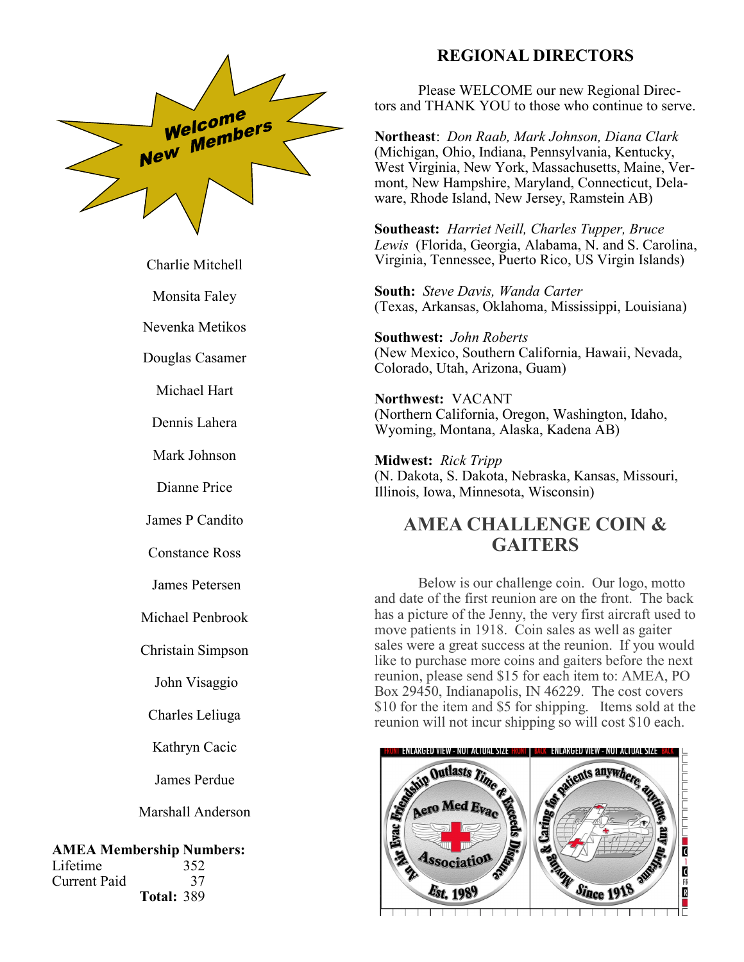

Charlie [Mitchell](https://member.amea.us/index.asp?view=member&ID=2621)

Monsita [Faley](https://member.amea.us/index.asp?view=member&ID=2619)

Nevenka [Metikos](https://member.amea.us/index.asp?view=member&ID=2618)

Douglas [Casamer](https://member.amea.us/index.asp?view=member&ID=2606)

Michael [Hart](https://member.amea.us/index.asp?view=member&ID=2605)

Dennis [Lahera](https://member.amea.us/index.asp?view=member&ID=2604)

Mark [Johnson](https://member.amea.us/index.asp?view=member&ID=2603)

Dianne [Price](https://member.amea.us/index.asp?view=member&ID=2601)

James P [Candito](https://member.amea.us/index.asp?view=member&ID=2602)

Constance [Ross](https://member.amea.us/index.asp?view=member&ID=2600)

James [Petersen](https://member.amea.us/index.asp?view=member&ID=2598)

Michael [Penbrook](https://member.amea.us/index.asp?view=member&ID=2595)

Christain [Simpson](https://member.amea.us/index.asp?view=member&ID=2594)

John Visaggio

Charles [Leliuga](https://member.amea.us/index.asp?view=member&ID=2591)

Kathryn Cacic

James [Perdue](https://member.amea.us/index.asp?view=member&ID=2589)

Marshall [Anderson](https://member.amea.us/index.asp?view=member&ID=2587)

#### **AMEA Membership Numbers:**

Lifetime 352 Current Paid 37 **Total:** 389

## **REGIONAL DIRECTORS**

Please WELCOME our new Regional Directors and THANK YOU to those who continue to serve.

**Northeast**: *Don Raab, Mark Johnson, Diana Clark* (Michigan, Ohio, Indiana, Pennsylvania, Kentucky, West Virginia, New York, Massachusetts, Maine, Vermont, New Hampshire, Maryland, Connecticut, Delaware, Rhode Island, New Jersey, Ramstein AB)

**Southeast:** *Harriet Neill, Charles Tupper, Bruce Lewis* (Florida, Georgia, Alabama, N. and S. Carolina, Virginia, Tennessee, Puerto Rico, US Virgin Islands)

**South:** *Steve Davis, Wanda Carter* (Texas, Arkansas, Oklahoma, Mississippi, Louisiana)

**Southwest:** *John Roberts* (New Mexico, Southern California, Hawaii, Nevada, Colorado, Utah, Arizona, Guam)

**Northwest:** VACANT (Northern California, Oregon, Washington, Idaho, Wyoming, Montana, Alaska, Kadena AB)

**Midwest:** *Rick Tripp* (N. Dakota, S. Dakota, Nebraska, Kansas, Missouri, Illinois, Iowa, Minnesota, Wisconsin)

## **AMEA CHALLENGE COIN & GAITERS**

Below is our challenge coin. Our logo, motto and date of the first reunion are on the front. The back has a picture of the Jenny, the very first aircraft used to move patients in 1918. Coin sales as well as gaiter sales were a great success at the reunion. If you would like to purchase more coins and gaiters before the next reunion, please send \$15 for each item to: AMEA, PO Box 29450, Indianapolis, IN 46229. The cost covers \$10 for the item and \$5 for shipping. Items sold at the

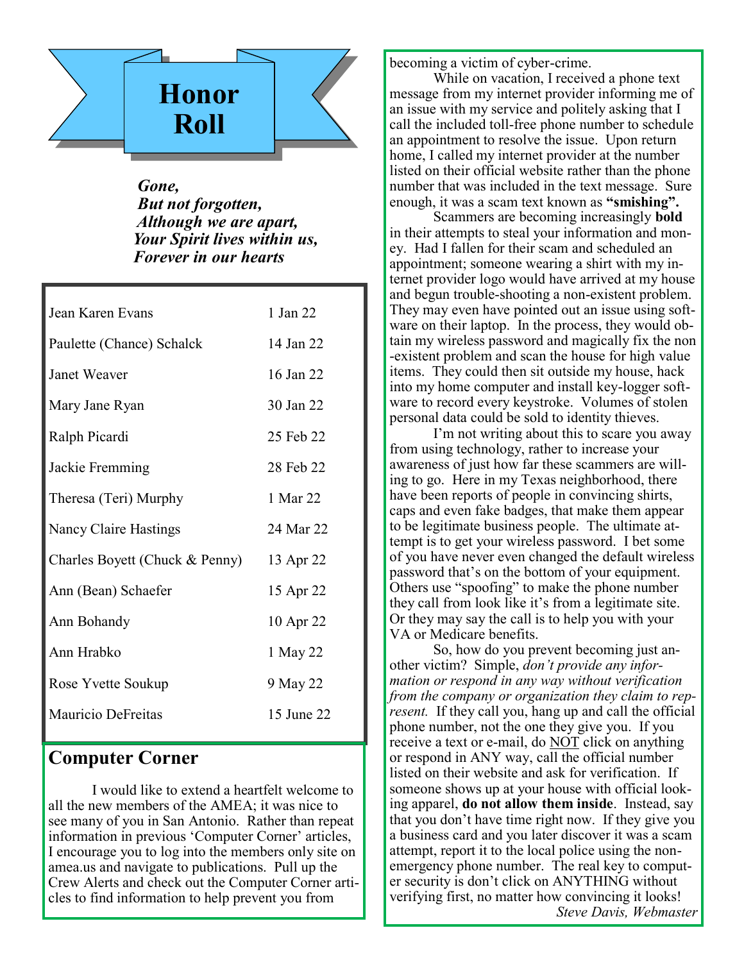

 *Gone, But not forgotten, Although we are apart, Your Spirit lives within us, Forever in our hearts*

| Jean Karen Evans               | 1 Jan 22   |
|--------------------------------|------------|
| Paulette (Chance) Schalck      | 14 Jan 22  |
| Janet Weaver                   | 16 Jan 22  |
| Mary Jane Ryan                 | 30 Jan 22  |
| Ralph Picardi                  | 25 Feb 22  |
| Jackie Fremming                | 28 Feb 22  |
| Theresa (Teri) Murphy          | 1 Mar 22   |
| Nancy Claire Hastings          | 24 Mar 22  |
| Charles Boyett (Chuck & Penny) | 13 Apr 22  |
| Ann (Bean) Schaefer            | 15 Apr 22  |
| Ann Bohandy                    | 10 Apr 22  |
| Ann Hrabko                     | 1 May 22   |
| Rose Yvette Soukup             | 9 May 22   |
| Mauricio DeFreitas             | 15 June 22 |
|                                |            |

## **Computer Corner**

I would like to extend a heartfelt welcome to all the new members of the AMEA; it was nice to see many of you in San Antonio. Rather than repeat information in previous 'Computer Corner' articles, I encourage you to log into the members only site on amea.us and navigate to publications. Pull up the Crew Alerts and check out the Computer Corner articles to find information to help prevent you from

becoming a victim of cyber-crime.

While on vacation, I received a phone text message from my internet provider informing me of an issue with my service and politely asking that I call the included toll-free phone number to schedule an appointment to resolve the issue. Upon return home, I called my internet provider at the number listed on their official website rather than the phone number that was included in the text message. Sure enough, it was a scam text known as **"smishing".**

Scammers are becoming increasingly **bold**  in their attempts to steal your information and money. Had I fallen for their scam and scheduled an appointment; someone wearing a shirt with my internet provider logo would have arrived at my house and begun trouble-shooting a non-existent problem. They may even have pointed out an issue using software on their laptop. In the process, they would obtain my wireless password and magically fix the non -existent problem and scan the house for high value items. They could then sit outside my house, hack into my home computer and install key-logger software to record every keystroke. Volumes of stolen personal data could be sold to identity thieves.

I'm not writing about this to scare you away from using technology, rather to increase your awareness of just how far these scammers are willing to go. Here in my Texas neighborhood, there have been reports of people in convincing shirts, caps and even fake badges, that make them appear to be legitimate business people. The ultimate attempt is to get your wireless password. I bet some of you have never even changed the default wireless password that's on the bottom of your equipment. Others use "spoofing" to make the phone number they call from look like it's from a legitimate site. Or they may say the call is to help you with your VA or Medicare benefits.

So, how do you prevent becoming just another victim? Simple, *don't provide any information or respond in any way without verification from the company or organization they claim to represent.* If they call you, hang up and call the official phone number, not the one they give you. If you receive a text or e-mail, do NOT click on anything or respond in ANY way, call the official number listed on their website and ask for verification. If someone shows up at your house with official looking apparel, **do not allow them inside**. Instead, say that you don't have time right now. If they give you a business card and you later discover it was a scam attempt, report it to the local police using the nonemergency phone number. The real key to computer security is don't click on ANYTHING without verifying first, no matter how convincing it looks! *Steve Davis, Webmaster*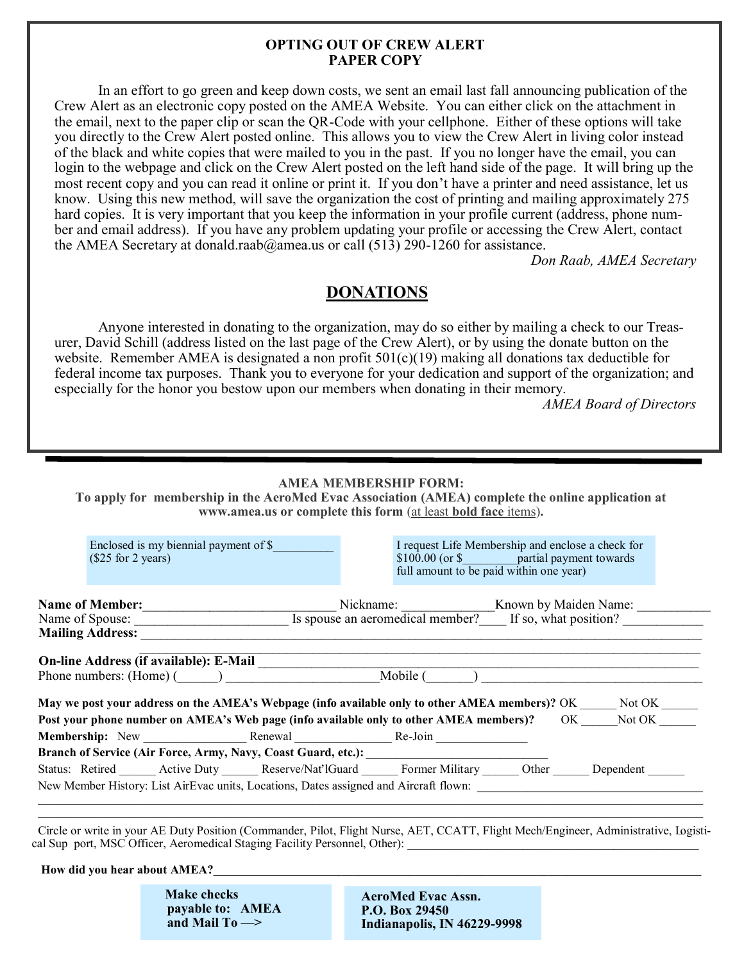#### **OPTING OUT OF CREW ALERT PAPER COPY**

In an effort to go green and keep down costs, we sent an email last fall announcing publication of the Crew Alert as an electronic copy posted on the AMEA Website. You can either click on the attachment in the email, next to the paper clip or scan the QR-Code with your cellphone. Either of these options will take you directly to the Crew Alert posted online. This allows you to view the Crew Alert in living color instead of the black and white copies that were mailed to you in the past. If you no longer have the email, you can login to the webpage and click on the Crew Alert posted on the left hand side of the page. It will bring up the most recent copy and you can read it online or print it. If you don't have a printer and need assistance, let us know. Using this new method, will save the organization the cost of printing and mailing approximately 275 hard copies. It is very important that you keep the information in your profile current (address, phone number and email address). If you have any problem updating your profile or accessing the Crew Alert, contact the AMEA Secretary at donald.raab@amea.us or call  $(513)$  290-1260 for assistance.

*Don Raab, AMEA Secretary*

## **DONATIONS**

Anyone interested in donating to the organization, may do so either by mailing a check to our Treasurer, David Schill (address listed on the last page of the Crew Alert), or by using the donate button on the website. Remember AMEA is designated a non profit 501(c)(19) making all donations tax deductible for federal income tax purposes. Thank you to everyone for your dedication and support of the organization; and especially for the honor you bestow upon our members when donating in their memory.

*AMEA Board of Directors*

#### **AMEA MEMBERSHIP FORM:**

**To apply for membership in the AeroMed Evac Association (AMEA) complete the online application at www.amea.us or complete this form** (at least **bold face** items)**.**

| Enclosed is my biennial payment of \$<br>(\$25 for 2 years)                                           | I request Life Membership and enclose a check for<br>\$100.00 (or \$ partial payment towards<br>full amount to be paid within one year) |  |  |  |  |  |
|-------------------------------------------------------------------------------------------------------|-----------------------------------------------------------------------------------------------------------------------------------------|--|--|--|--|--|
| <b>Mailing Address:</b>                                                                               | Name of Member:<br>Name of Spouse: <u>Spouse an aeromedical member?</u> Known by Maiden Name:                                           |  |  |  |  |  |
| <b>On-line Address (if available): E-Mail</b>                                                         |                                                                                                                                         |  |  |  |  |  |
| Phone numbers: $(Home)$ ( )                                                                           | Mobile (                                                                                                                                |  |  |  |  |  |
| May we post your address on the AMEA's Webpage (info available only to other AMEA members)? OK Not OK |                                                                                                                                         |  |  |  |  |  |
| Post your phone number on AMEA's Web page (info available only to other AMEA members)? OK Not OK      |                                                                                                                                         |  |  |  |  |  |
| Membership: New Renewal Renewal Re-Join                                                               |                                                                                                                                         |  |  |  |  |  |
| Branch of Service (Air Force, Army, Navy, Coast Guard, etc.): ___________________                     |                                                                                                                                         |  |  |  |  |  |
|                                                                                                       | Status: Retired Active Duty Reserve/Nat'lGuard Former Military Other Dependent                                                          |  |  |  |  |  |
| New Member History: List AirEvac units, Locations, Dates assigned and Aircraft flown:                 |                                                                                                                                         |  |  |  |  |  |

 Circle or write in your AE Duty Position (Commander, Pilot, Flight Nurse, AET, CCATT, Flight Mech/Engineer, Administrative, Logistical Sup port, MSC Officer, Aeromedical Staging Facility Personnel, Other):

 $\mathcal{L}_\mathcal{L} = \mathcal{L}_\mathcal{L} = \mathcal{L}_\mathcal{L} = \mathcal{L}_\mathcal{L} = \mathcal{L}_\mathcal{L} = \mathcal{L}_\mathcal{L} = \mathcal{L}_\mathcal{L} = \mathcal{L}_\mathcal{L} = \mathcal{L}_\mathcal{L} = \mathcal{L}_\mathcal{L} = \mathcal{L}_\mathcal{L} = \mathcal{L}_\mathcal{L} = \mathcal{L}_\mathcal{L} = \mathcal{L}_\mathcal{L} = \mathcal{L}_\mathcal{L} = \mathcal{L}_\mathcal{L} = \mathcal{L}_\mathcal{L}$ 

**How did you hear about AMEA?** 

 **Make checks payable to: AMEA and Mail To —>** 

 **AeroMed Evac Assn. P.O. Box 29450 Indianapolis, IN 46229-9998**